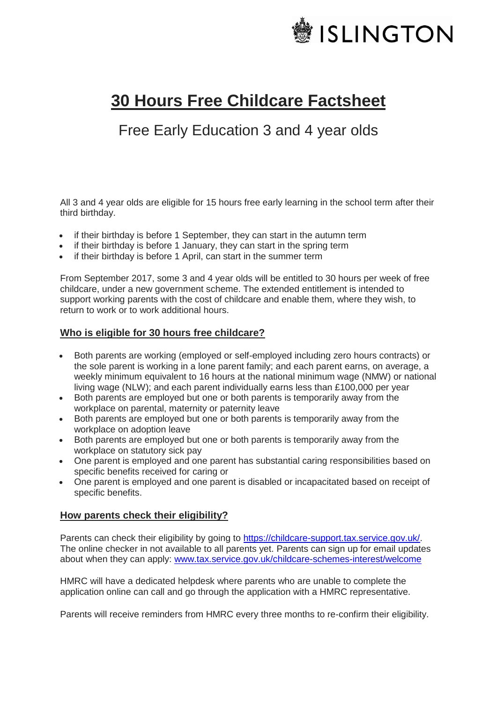

# **30 Hours Free Childcare Factsheet**

# Free Early Education 3 and 4 year olds

All 3 and 4 year olds are eligible for 15 hours free early learning in the school term after their third birthday.

- if their birthday is before 1 September, they can start in the autumn term
- if their birthday is before 1 January, they can start in the spring term
- if their birthday is before 1 April, can start in the summer term

From September 2017, some 3 and 4 year olds will be entitled to 30 hours per week of free childcare, under a new government scheme. The extended entitlement is intended to support working parents with the cost of childcare and enable them, where they wish, to return to work or to work additional hours.

#### **Who is eligible for 30 hours free childcare?**

- Both parents are working (employed or self-employed including zero hours contracts) or the sole parent is working in a lone parent family; and each parent earns, on average, a weekly minimum equivalent to 16 hours at the national minimum wage (NMW) or national living wage (NLW); and each parent individually earns less than £100,000 per year
- Both parents are employed but one or both parents is temporarily away from the workplace on parental, maternity or paternity leave
- Both parents are employed but one or both parents is temporarily away from the workplace on adoption leave
- Both parents are employed but one or both parents is temporarily away from the workplace on statutory sick pay
- One parent is employed and one parent has substantial caring responsibilities based on specific benefits received for caring or
- One parent is employed and one parent is disabled or incapacitated based on receipt of specific benefits.

### **How parents check their eligibility?**

Parents can check their eligibility by going to [https://childcare-support.tax.service.gov.uk/.](https://childcare-support.tax.service.gov.uk/) The online checker in not available to all parents yet. Parents can sign up for email updates about when they can apply: [www.tax.service.gov.uk/childcare-schemes-interest/welcome](http://www.tax.service.gov.uk/childcare-schemes-interest/welcome)

HMRC will have a dedicated helpdesk where parents who are unable to complete the application online can call and go through the application with a HMRC representative.

Parents will receive reminders from HMRC every three months to re-confirm their eligibility.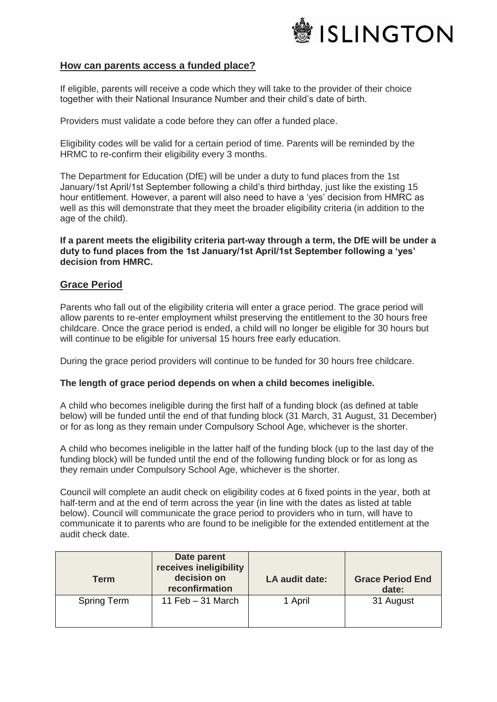

#### **How can parents access a funded place?**

If eligible, parents will receive a code which they will take to the provider of their choice together with their National Insurance Number and their child's date of birth.

Providers must validate a code before they can offer a funded place.

Eligibility codes will be valid for a certain period of time. Parents will be reminded by the HRMC to re-confirm their eligibility every 3 months.

The Department for Education (DfE) will be under a duty to fund places from the 1st January/1st April/1st September following a child's third birthday, just like the existing 15 hour entitlement. However, a parent will also need to have a 'yes' decision from HMRC as well as this will demonstrate that they meet the broader eligibility criteria (in addition to the age of the child).

**If a parent meets the eligibility criteria part-way through a term, the DfE will be under a duty to fund places from the 1st January/1st April/1st September following a 'yes' decision from HMRC.**

#### **Grace Period**

Parents who fall out of the eligibility criteria will enter a grace period. The grace period will allow parents to re-enter employment whilst preserving the entitlement to the 30 hours free childcare. Once the grace period is ended, a child will no longer be eligible for 30 hours but will continue to be eligible for universal 15 hours free early education.

During the grace period providers will continue to be funded for 30 hours free childcare.

#### **The length of grace period depends on when a child becomes ineligible.**

A child who becomes ineligible during the first half of a funding block (as defined at table below) will be funded until the end of that funding block (31 March, 31 August, 31 December) or for as long as they remain under Compulsory School Age, whichever is the shorter.

A child who becomes ineligible in the latter half of the funding block (up to the last day of the funding block) will be funded until the end of the following funding block or for as long as they remain under Compulsory School Age, whichever is the shorter.

Council will complete an audit check on eligibility codes at 6 fixed points in the year, both at half-term and at the end of term across the year (in line with the dates as listed at table below). Council will communicate the grace period to providers who in turn, will have to communicate it to parents who are found to be ineligible for the extended entitlement at the audit check date.

| <b>Term</b>        | Date parent<br>receives ineligibility<br>decision on<br>reconfirmation | LA audit date: | <b>Grace Period End</b><br>date: |
|--------------------|------------------------------------------------------------------------|----------------|----------------------------------|
| <b>Spring Term</b> | 11 Feb $-31$ March                                                     | 1 April        | 31 August                        |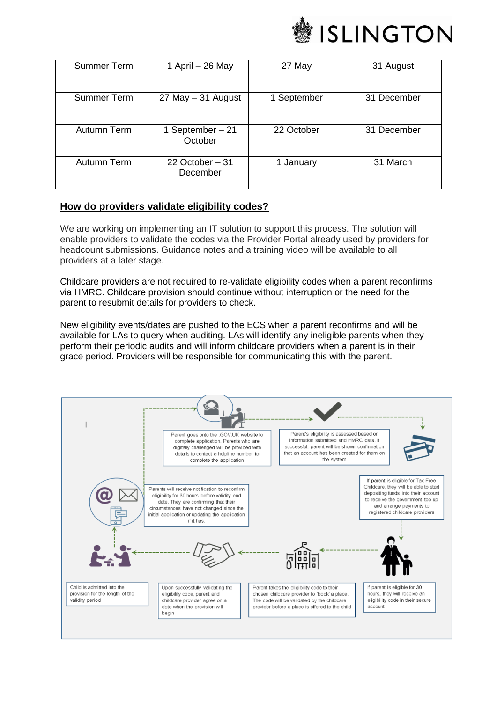

| Summer Term | 1 April – 26 May             | 27 May      | 31 August   |
|-------------|------------------------------|-------------|-------------|
|             |                              |             |             |
| Summer Term | 27 May - 31 August           | 1 September | 31 December |
|             |                              |             |             |
| Autumn Term | 1 September - 21<br>October  | 22 October  | 31 December |
| Autumn Term | 22 October $-31$<br>December | 1 January   | 31 March    |

#### **How do providers validate eligibility codes?**

We are working on implementing an IT solution to support this process. The solution will enable providers to validate the codes via the Provider Portal already used by providers for headcount submissions. Guidance notes and a training video will be available to all providers at a later stage.

Childcare providers are not required to re-validate eligibility codes when a parent reconfirms via HMRC. Childcare provision should continue without interruption or the need for the parent to resubmit details for providers to check.

New eligibility events/dates are pushed to the ECS when a parent reconfirms and will be available for LAs to query when auditing. LAs will identify any ineligible parents when they perform their periodic audits and will inform childcare providers when a parent is in their grace period. Providers will be responsible for communicating this with the parent.